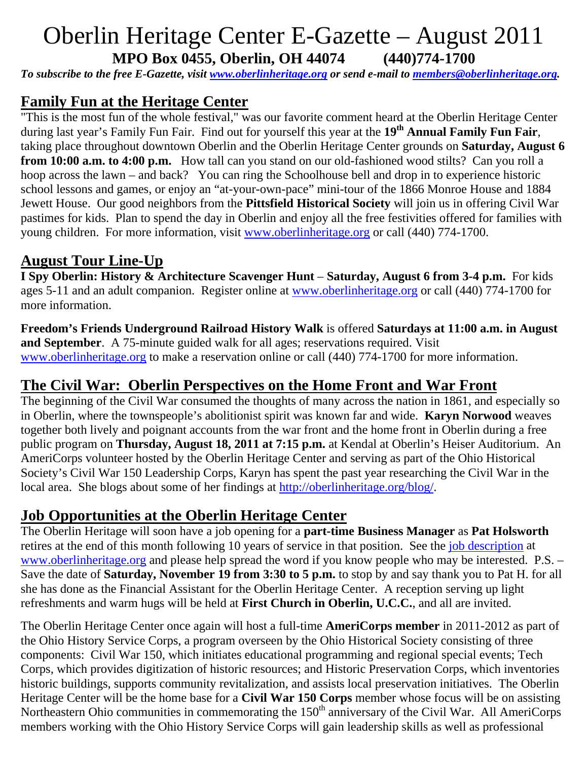# Oberlin Heritage Center E-Gazette – August 2011 **MPO Box 0455, Oberlin, OH 44074 (440)774-1700**

*To subscribe to the free E-Gazette, visit www.oberlinheritage.org or send e-mail to members@oberlinheritage.org.* 

## **Family Fun at the Heritage Center**

"This is the most fun of the whole festival," was our favorite comment heard at the Oberlin Heritage Center during last year's Family Fun Fair. Find out for yourself this year at the **19th Annual Family Fun Fair**, taking place throughout downtown Oberlin and the Oberlin Heritage Center grounds on **Saturday, August 6 from 10:00 a.m. to 4:00 p.m.** How tall can you stand on our old-fashioned wood stilts? Can you roll a hoop across the lawn – and back? You can ring the Schoolhouse bell and drop in to experience historic school lessons and games, or enjoy an "at-your-own-pace" mini-tour of the 1866 Monroe House and 1884 Jewett House. Our good neighbors from the **Pittsfield Historical Society** will join us in offering Civil War pastimes for kids. Plan to spend the day in Oberlin and enjoy all the free festivities offered for families with young children. For more information, visit www.oberlinheritage.org or call (440) 774-1700.

## **August Tour Line-Up**

**I Spy Oberlin: History & Architecture Scavenger Hunt** – **Saturday, August 6 from 3-4 p.m.** For kids ages 5-11 and an adult companion. Register online at www.oberlinheritage.org or call (440) 774-1700 for more information.

**Freedom's Friends Underground Railroad History Walk** is offered **Saturdays at 11:00 a.m. in August and September**. A 75-minute guided walk for all ages; reservations required. Visit www.oberlinheritage.org to make a reservation online or call (440) 774-1700 for more information.

# **The Civil War: Oberlin Perspectives on the Home Front and War Front**

The beginning of the Civil War consumed the thoughts of many across the nation in 1861, and especially so in Oberlin, where the townspeople's abolitionist spirit was known far and wide. **Karyn Norwood** weaves together both lively and poignant accounts from the war front and the home front in Oberlin during a free public program on **Thursday, August 18, 2011 at 7:15 p.m.** at Kendal at Oberlin's Heiser Auditorium. An AmeriCorps volunteer hosted by the Oberlin Heritage Center and serving as part of the Ohio Historical Society's Civil War 150 Leadership Corps, Karyn has spent the past year researching the Civil War in the local area. She blogs about some of her findings at http://oberlinheritage.org/blog/.

#### **Job Opportunities at the Oberlin Heritage Center**

The Oberlin Heritage will soon have a job opening for a **part-time Business Manager** as **Pat Holsworth** retires at the end of this month following 10 years of service in that position. See the job description at www.oberlinheritage.org and please help spread the word if you know people who may be interested. P.S. – Save the date of **Saturday, November 19 from 3:30 to 5 p.m.** to stop by and say thank you to Pat H. for all she has done as the Financial Assistant for the Oberlin Heritage Center. A reception serving up light refreshments and warm hugs will be held at **First Church in Oberlin, U.C.C.**, and all are invited.

The Oberlin Heritage Center once again will host a full-time **AmeriCorps member** in 2011-2012 as part of the Ohio History Service Corps, a program overseen by the Ohio Historical Society consisting of three components: Civil War 150, which initiates educational programming and regional special events; Tech Corps, which provides digitization of historic resources; and Historic Preservation Corps, which inventories historic buildings, supports community revitalization, and assists local preservation initiatives. The Oberlin Heritage Center will be the home base for a **Civil War 150 Corps** member whose focus will be on assisting Northeastern Ohio communities in commemorating the 150<sup>th</sup> anniversary of the Civil War. All AmeriCorps members working with the Ohio History Service Corps will gain leadership skills as well as professional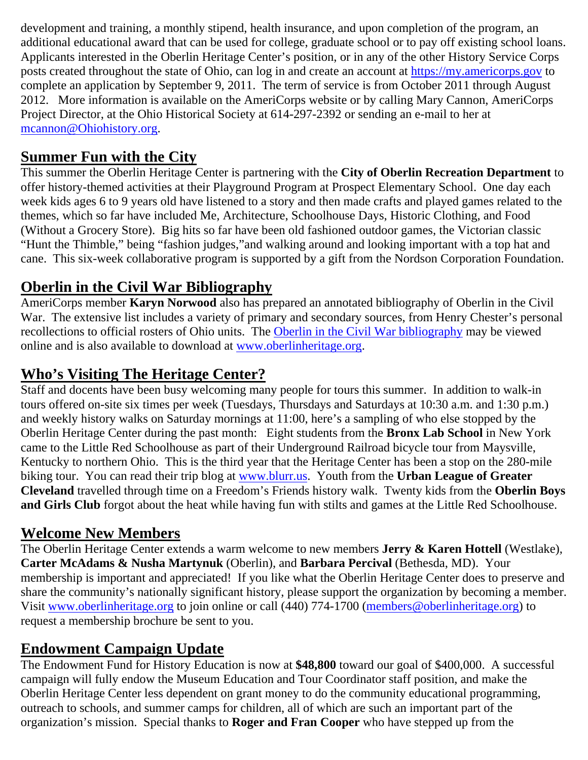development and training, a monthly stipend, health insurance, and upon completion of the program, an additional educational award that can be used for college, graduate school or to pay off existing school loans. Applicants interested in the Oberlin Heritage Center's position, or in any of the other History Service Corps posts created throughout the state of Ohio, can log in and create an account at https://my.americorps.gov to complete an application by September 9, 2011. The term of service is from October 2011 through August 2012. More information is available on the AmeriCorps website or by calling Mary Cannon, AmeriCorps Project Director, at the Ohio Historical Society at 614-297-2392 or sending an e-mail to her at mcannon@Ohiohistory.org.

## **Summer Fun with the City**

This summer the Oberlin Heritage Center is partnering with the **City of Oberlin Recreation Department** to offer history-themed activities at their Playground Program at Prospect Elementary School. One day each week kids ages 6 to 9 years old have listened to a story and then made crafts and played games related to the themes, which so far have included Me, Architecture, Schoolhouse Days, Historic Clothing, and Food (Without a Grocery Store). Big hits so far have been old fashioned outdoor games, the Victorian classic "Hunt the Thimble," being "fashion judges,"and walking around and looking important with a top hat and cane. This six-week collaborative program is supported by a gift from the Nordson Corporation Foundation.

# **Oberlin in the Civil War Bibliography**

AmeriCorps member **Karyn Norwood** also has prepared an annotated bibliography of Oberlin in the Civil War. The extensive list includes a variety of primary and secondary sources, from Henry Chester's personal recollections to official rosters of Ohio units. The Oberlin in the Civil War bibliography may be viewed online and is also available to download at www.oberlinheritage.org.

## **Who's Visiting The Heritage Center?**

Staff and docents have been busy welcoming many people for tours this summer. In addition to walk-in tours offered on-site six times per week (Tuesdays, Thursdays and Saturdays at 10:30 a.m. and 1:30 p.m.) and weekly history walks on Saturday mornings at 11:00, here's a sampling of who else stopped by the Oberlin Heritage Center during the past month: Eight students from the **Bronx Lab School** in New York came to the Little Red Schoolhouse as part of their Underground Railroad bicycle tour from Maysville, Kentucky to northern Ohio. This is the third year that the Heritage Center has been a stop on the 280-mile biking tour. You can read their trip blog at www.blurr.us. Youth from the **Urban League of Greater Cleveland** travelled through time on a Freedom's Friends history walk. Twenty kids from the **Oberlin Boys and Girls Club** forgot about the heat while having fun with stilts and games at the Little Red Schoolhouse.

#### **Welcome New Members**

The Oberlin Heritage Center extends a warm welcome to new members **Jerry & Karen Hottell** (Westlake), **Carter McAdams & Nusha Martynuk** (Oberlin), and **Barbara Percival** (Bethesda, MD). Your membership is important and appreciated! If you like what the Oberlin Heritage Center does to preserve and share the community's nationally significant history, please support the organization by becoming a member. Visit www.oberlinheritage.org to join online or call (440) 774-1700 (members@oberlinheritage.org) to request a membership brochure be sent to you.

#### **Endowment Campaign Update**

The Endowment Fund for History Education is now at **\$48,800** toward our goal of \$400,000. A successful campaign will fully endow the Museum Education and Tour Coordinator staff position, and make the Oberlin Heritage Center less dependent on grant money to do the community educational programming, outreach to schools, and summer camps for children, all of which are such an important part of the organization's mission. Special thanks to **Roger and Fran Cooper** who have stepped up from the